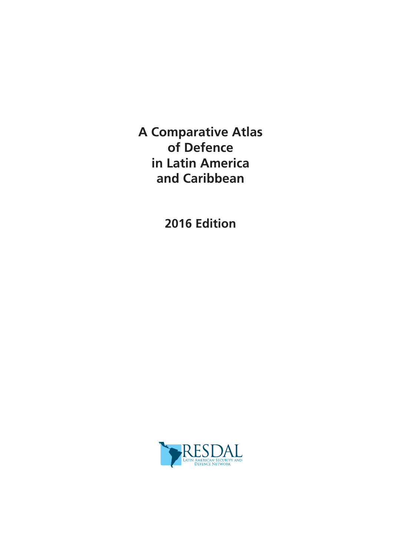**A Comparative Atlas of Defence in Latin America and Caribbean**

**2016 Edition**

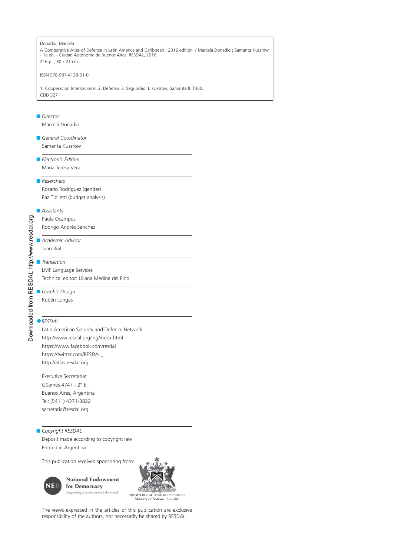### Donadio, Marcela A Comparative Atlas of Defence in Latin America and Caribbean : 2016 edition / Marcela Donadio ; Samanta Kussrow. - 1a ed. - Ciudad Autónoma de Buenos Aires: RESDAL, 2016. 216 p. ; 30 x 21 cm. ISBN 978-987-4128-01-0 1. Cooperación Internacional. 2. Defensa. 3. Seguridad. I. Kussrow, Samanta II. Título CDD 327 ■ *Director* Marcela Donadio ■ *General Coordinator* Samanta Kussrow ■ *Electronic Edition* María Teresa Vera ■ *Reserchers* Rosario Rodríguez (gender) Paz Tibiletti (budget analysis) ■ *Assistants* Downloaded from RESDAL http://www.resdal.org Downloaded from RESDAL http://www.resdal.orgPaula Ocampos Rodrigo Andrés Sánchez ■ *Academic Advisor* Juan Rial ■ *Translation* LMP Language Services Technical editor: Liliana Medina del Pino ■ *Graphic Design* Rubén Longas ◆*RESDAL* Latin American Security and Defence Network http://www.resdal.org/ing/index.html https://www.facebook.com/resdal https://twitter.com/RESDAL\_ http://atlas.resdal.org

Executive Secretariat Güemes 4747 - 2° E Buenos Aires, Argentina Tel: (5411) 4371-3822 secretaria@resdal.org

#### ■ *Copyright RESDAL*

Deposit made according to copyright law Printed in Argentina

This publication received sponsoring from:



**National Endowment** for Democracy Supporting freedom around the world



THE REPUBLIC OF TRINIDAD AND TOBAGO Ministry of National Security

The views expressed in the articles of this publication are exclusive responsibility of the authors, not necessarily be shared by RESDAL.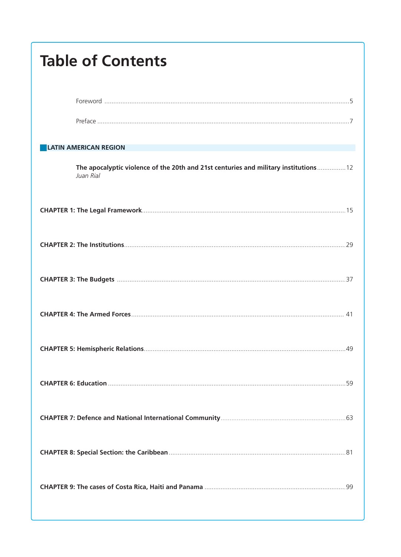| <b>Table of Contents</b>                                                                           |
|----------------------------------------------------------------------------------------------------|
|                                                                                                    |
|                                                                                                    |
| <b>LATIN AMERICAN REGION</b>                                                                       |
| The apocalyptic violence of the 20th and 21st centuries and military institutions  12<br>Juan Rial |
|                                                                                                    |
|                                                                                                    |
|                                                                                                    |
|                                                                                                    |
|                                                                                                    |
|                                                                                                    |
|                                                                                                    |
|                                                                                                    |
|                                                                                                    |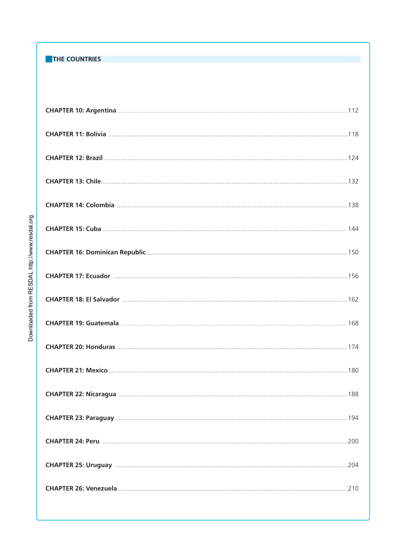### THE COUNTRIES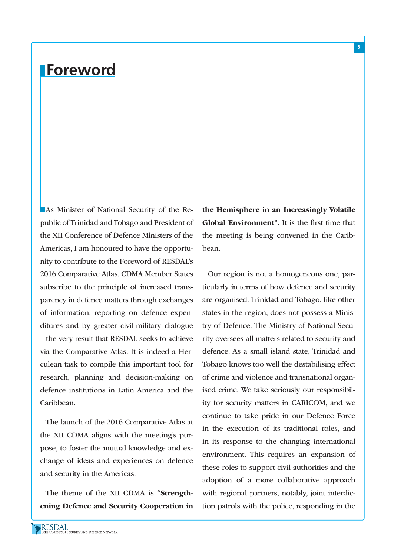## **Foreword**

**As Minister of National Security of the Re**public of Trinidad and Tobago and President of the XII Conference of Defence Ministers of the Americas, I am honoured to have the opportunity to contribute to the Foreword of RESDAL's 2016 Comparative Atlas. CDMA Member States subscribe to the principle of increased transparency in defence matters through exchanges of information, reporting on defence expenditures and by greater civil-military dialogue – the very result that RESDAL seeks to achieve via the Comparative Atlas. It is indeed a Herculean task to compile this important tool for research, planning and decision-making on defence institutions in Latin America and the Caribbean.

The launch of the 2016 Comparative Atlas at the XII CDMA aligns with the meeting's purpose, to foster the mutual knowledge and exchange of ideas and experiences on defence and security in the Americas.

The theme of the XII CDMA is "Strengthening Defence and Security Cooperation in the Hemisphere in an Increasingly Volatile Global Environment". It is the first time that the meeting is being convened in the Caribbean.

Our region is not a homogeneous one, particularly in terms of how defence and security are organised. Trinidad and Tobago, like other states in the region, does not possess a Ministry of Defence. The Ministry of National Security oversees all matters related to security and defence. As a small island state, Trinidad and Tobago knows too well the destabilising effect of crime and violence and transnational organised crime. We take seriously our responsibility for security matters in CARICOM, and we continue to take pride in our Defence Force in the execution of its traditional roles, and in its response to the changing international environment. This requires an expansion of these roles to support civil authorities and the adoption of a more collaborative approach with regional partners, notably, joint interdiction patrols with the police, responding in the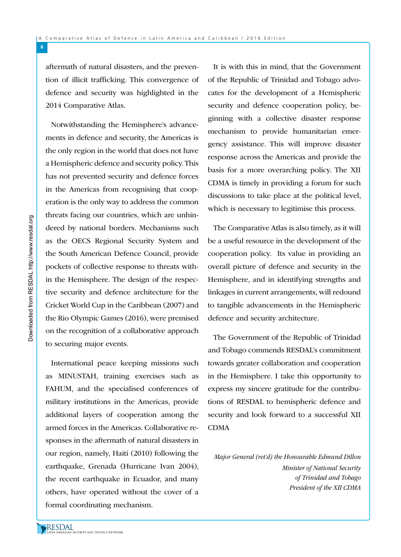aftermath of natural disasters, and the prevention of illicit trafficking. This convergence of defence and security was highlighted in the 2014 Comparative Atlas.

Notwithstanding the Hemisphere's advancements in defence and security, the Americas is the only region in the world that does not have a Hemispheric defence and security policy. This has not prevented security and defence forces in the Americas from recognising that cooperation is the only way to address the common threats facing our countries, which are unhindered by national borders. Mechanisms such as the OECS Regional Security System and the South American Defence Council, provide pockets of collective response to threats within the Hemisphere. The design of the respective security and defence architecture for the Cricket World Cup in the Caribbean (2007) and the Rio Olympic Games (2016), were premised on the recognition of a collaborative approach to securing major events.

International peace keeping missions such as MINUSTAH, training exercises such as FAHUM, and the specialised conferences of military institutions in the Americas, provide additional layers of cooperation among the armed forces in the Americas. Collaborative responses in the aftermath of natural disasters in our region, namely, Haiti (2010) following the earthquake, Grenada (Hurricane Ivan 2004), the recent earthquake in Ecuador, and many others, have operated without the cover of a formal coordinating mechanism.

It is with this in mind, that the Government of the Republic of Trinidad and Tobago advocates for the development of a Hemispheric security and defence cooperation policy, beginning with a collective disaster response mechanism to provide humanitarian emergency assistance. This will improve disaster response across the Americas and provide the basis for a more overarching policy. The XII CDMA is timely in providing a forum for such discussions to take place at the political level, which is necessary to legitimise this process.

The Comparative Atlas is also timely, as it will be a useful resource in the development of the cooperation policy. Its value in providing an overall picture of defence and security in the Hemisphere, and in identifying strengths and linkages in current arrangements, will redound to tangible advancements in the Hemispheric defence and security architecture.

The Government of the Republic of Trinidad and Tobago commends RESDAL's commitment towards greater collaboration and cooperation in the Hemisphere. I take this opportunity to express my sincere gratitude for the contributions of RESDAL to hemispheric defence and security and look forward to a successful XII CDMA

Major General (ret'd) the Honourable Edmund Dillon

Minister of National Security of Trinidad and Tobago President of the XII CDMA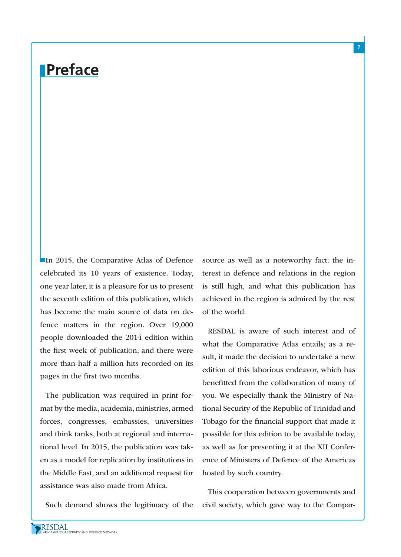# **Preface**

**In 2015, the Comparative Atlas of Defence** celebrated its 10 years of existence. Today, one year later, it is a pleasure for us to present the seventh edition of this publication, which has become the main source of data on defence matters in the region. Over 19,000 people downloaded the 2014 edition within the first week of publication, and there were more than half a million hits recorded on its pages in the first two months.

The publication was required in print format by the media, academia, ministries, armed forces, congresses, embassies, universities and think tanks, both at regional and international level. In 2015, the publication was taken as a model for replication by institutions in the Middle East, and an additional request for assistance was also made from Africa.

Such demand shows the legitimacy of the

source as well as a noteworthy fact: the interest in defence and relations in the region is still high, and what this publication has achieved in the region is admired by the rest of the world.

RESDAL is aware of such interest and of what the Comparative Atlas entails; as a result, it made the decision to undertake a new edition of this laborious endeavor, which has benefitted from the collaboration of many of you. We especially thank the Ministry of National Security of the Republic of Trinidad and Tobago for the financial support that made it possible for this edition to be available today, as well as for presenting it at the XII Conference of Ministers of Defence of the Americas hosted by such country.

This cooperation between governments and civil society, which gave way to the Compar-

RESDAL<br>Latin American Security and Defence Network